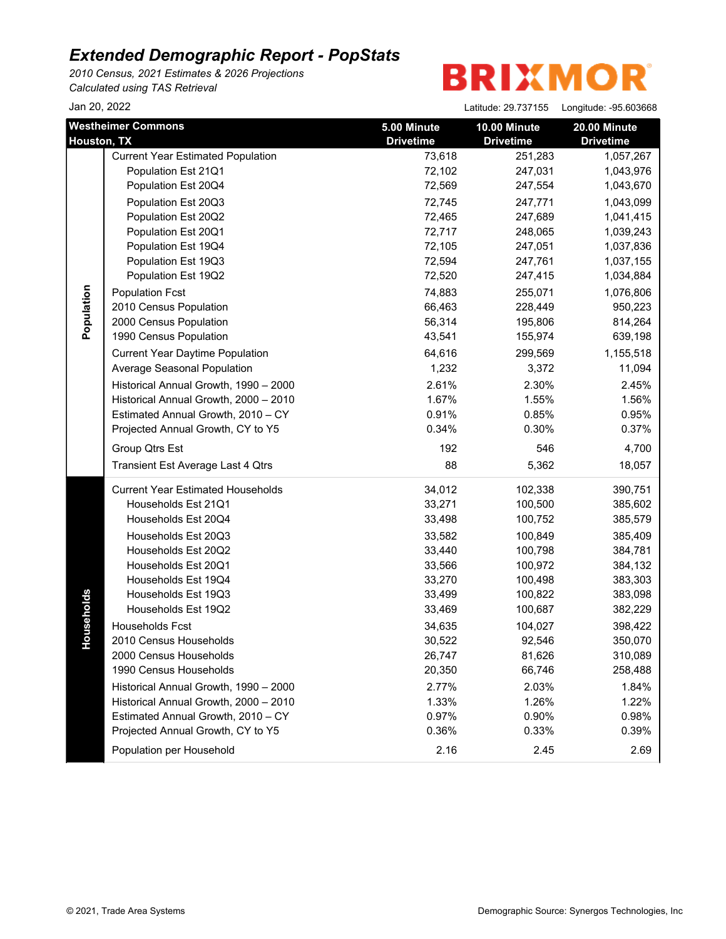*2010 Census, 2021 Estimates & 2026 Projections Calculated using TAS Retrieval*

| Jan 20, 2022 |                                          |                  | Latitude: 29.737155 | Longitude: - 95.603668 |
|--------------|------------------------------------------|------------------|---------------------|------------------------|
|              | <b>Westheimer Commons</b>                | 5.00 Minute      | 10.00 Minute        | 20.00 Minute           |
| Houston, TX  |                                          | <b>Drivetime</b> | <b>Drivetime</b>    | <b>Drivetime</b>       |
|              | <b>Current Year Estimated Population</b> | 73,618           | 251,283             | 1,057,267              |
|              | Population Est 21Q1                      | 72,102           | 247,031             | 1,043,976              |
|              | Population Est 20Q4                      | 72,569           | 247,554             | 1,043,670              |
|              | Population Est 20Q3                      | 72,745           | 247,771             | 1,043,099              |
|              | Population Est 20Q2                      | 72,465           | 247,689             | 1,041,415              |
|              | Population Est 20Q1                      | 72,717           | 248,065             | 1,039,243              |
|              | Population Est 19Q4                      | 72,105           | 247,051             | 1,037,836              |
|              | Population Est 19Q3                      | 72,594           | 247,761             | 1,037,155              |
|              | Population Est 19Q2                      | 72,520           | 247,415             | 1,034,884              |
| Population   | <b>Population Fcst</b>                   | 74,883           | 255,071             | 1,076,806              |
|              | 2010 Census Population                   | 66,463           | 228,449             | 950,223                |
|              | 2000 Census Population                   | 56,314           | 195,806             | 814,264                |
|              | 1990 Census Population                   | 43,541           | 155,974             | 639,198                |
|              | <b>Current Year Daytime Population</b>   | 64,616           | 299,569             | 1,155,518              |
|              | Average Seasonal Population              | 1,232            | 3,372               | 11,094                 |
|              | Historical Annual Growth, 1990 - 2000    | 2.61%            | 2.30%               | 2.45%                  |
|              | Historical Annual Growth, 2000 - 2010    | 1.67%            | 1.55%               | 1.56%                  |
|              | Estimated Annual Growth, 2010 - CY       | 0.91%            | 0.85%               | 0.95%                  |
|              | Projected Annual Growth, CY to Y5        | 0.34%            | 0.30%               | 0.37%                  |
|              | Group Qtrs Est                           | 192              | 546                 | 4,700                  |
|              | Transient Est Average Last 4 Qtrs        | 88               | 5,362               | 18,057                 |
|              | <b>Current Year Estimated Households</b> | 34,012           | 102,338             | 390,751                |
|              | Households Est 21Q1                      | 33,271           | 100,500             | 385,602                |
|              | Households Est 20Q4                      | 33,498           | 100,752             | 385,579                |
|              | Households Est 20Q3                      | 33,582           | 100,849             | 385,409                |
|              | Households Est 20Q2                      | 33,440           | 100,798             | 384,781                |
|              | Households Est 20Q1                      | 33,566           | 100,972             | 384,132                |
|              | Households Est 19Q4                      | 33,270           | 100,498             | 383,303                |
|              | Households Est 19Q3                      | 33,499           | 100,822             | 383,098                |
| seholds      | Households Est 19Q2                      | 33,469           | 100,687             | 382,229                |
|              | Households Fcst                          | 34,635           | 104,027             | 398,422                |
| JoH          | 2010 Census Households                   | 30,522           | 92,546              | 350,070                |
|              | 2000 Census Households                   | 26,747           | 81,626              | 310,089                |
|              | 1990 Census Households                   | 20,350           | 66,746              | 258,488                |
|              | Historical Annual Growth, 1990 - 2000    | 2.77%            | 2.03%               | 1.84%                  |
|              | Historical Annual Growth, 2000 - 2010    | 1.33%            | 1.26%               | 1.22%                  |
|              | Estimated Annual Growth, 2010 - CY       | 0.97%            | 0.90%               | 0.98%                  |
|              | Projected Annual Growth, CY to Y5        | 0.36%            | 0.33%               | 0.39%                  |
|              | Population per Household                 | 2.16             | 2.45                | 2.69                   |
|              |                                          |                  |                     |                        |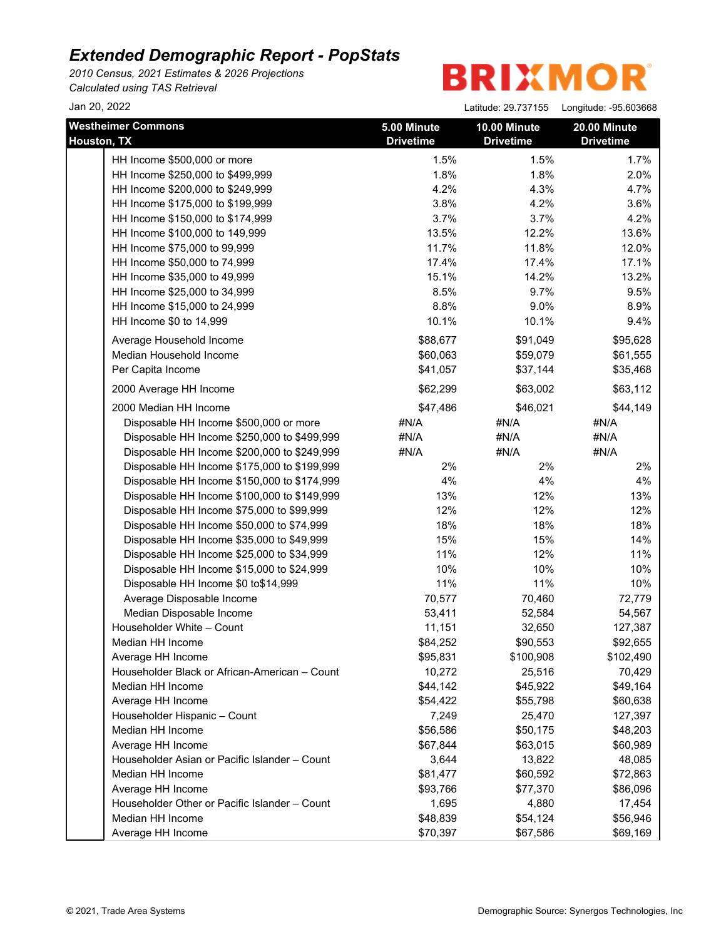*2010 Census, 2021 Estimates & 2026 Projections Calculated using TAS Retrieval*

| Jan 20, 2022                                  |                                 | Latitude: 29.737155              | Longitude: - 95.603668           |
|-----------------------------------------------|---------------------------------|----------------------------------|----------------------------------|
| <b>Westheimer Commons</b><br>Houston, TX      | 5.00 Minute<br><b>Drivetime</b> | 10.00 Minute<br><b>Drivetime</b> | 20.00 Minute<br><b>Drivetime</b> |
| HH Income \$500,000 or more                   | 1.5%                            | 1.5%                             | 1.7%                             |
| HH Income \$250,000 to \$499,999              | 1.8%                            | 1.8%                             | 2.0%                             |
| HH Income \$200,000 to \$249,999              | 4.2%                            | 4.3%                             | 4.7%                             |
| HH Income \$175,000 to \$199,999              | 3.8%                            | 4.2%                             | 3.6%                             |
| HH Income \$150,000 to \$174,999              | 3.7%                            | 3.7%                             | 4.2%                             |
| HH Income \$100,000 to 149,999                | 13.5%                           | 12.2%                            | 13.6%                            |
| HH Income \$75,000 to 99,999                  | 11.7%                           | 11.8%                            | 12.0%                            |
| HH Income \$50,000 to 74,999                  | 17.4%                           | 17.4%                            | 17.1%                            |
| HH Income \$35,000 to 49,999                  | 15.1%                           | 14.2%                            | 13.2%                            |
| HH Income \$25,000 to 34,999                  | 8.5%                            | 9.7%                             | 9.5%                             |
| HH Income \$15,000 to 24,999                  | 8.8%                            | 9.0%                             | 8.9%                             |
| HH Income \$0 to 14,999                       | 10.1%                           | 10.1%                            | 9.4%                             |
| Average Household Income                      | \$88,677                        | \$91,049                         | \$95,628                         |
| Median Household Income                       | \$60,063                        | \$59,079                         | \$61,555                         |
| Per Capita Income                             | \$41,057                        | \$37,144                         | \$35,468                         |
| 2000 Average HH Income                        | \$62,299                        | \$63,002                         | \$63,112                         |
| 2000 Median HH Income                         | \$47,486                        | \$46,021                         | \$44,149                         |
| Disposable HH Income \$500,000 or more        | #N/A                            | #N/A                             | #N/A                             |
| Disposable HH Income \$250,000 to \$499,999   | #N/A                            | #N/A                             | #N/A                             |
| Disposable HH Income \$200,000 to \$249,999   | #N/A                            | #N/A                             | #N/A                             |
| Disposable HH Income \$175,000 to \$199,999   | 2%                              | 2%                               | 2%                               |
| Disposable HH Income \$150,000 to \$174,999   | 4%                              | 4%                               | 4%                               |
| Disposable HH Income \$100,000 to \$149,999   | 13%                             | 12%                              | 13%                              |
| Disposable HH Income \$75,000 to \$99,999     | 12%                             | 12%                              | 12%                              |
| Disposable HH Income \$50,000 to \$74,999     | 18%                             | 18%                              | 18%                              |
| Disposable HH Income \$35,000 to \$49,999     | 15%                             | 15%                              | 14%                              |
| Disposable HH Income \$25,000 to \$34,999     | 11%                             | 12%                              | 11%                              |
| Disposable HH Income \$15,000 to \$24,999     | 10%                             | 10%                              | 10%                              |
| Disposable HH Income \$0 to\$14,999           | 11%                             | 11%                              | 10%                              |
| Average Disposable Income                     | 70,577                          | 70,460                           | 72,779                           |
| Median Disposable Income                      | 53,411                          | 52,584                           | 54,567                           |
| Householder White - Count                     | 11,151                          | 32,650                           | 127,387                          |
| Median HH Income                              | \$84,252                        | \$90,553                         | \$92,655                         |
| Average HH Income                             | \$95,831                        | \$100,908                        | \$102,490                        |
| Householder Black or African-American - Count | 10,272                          | 25,516                           | 70,429                           |
| Median HH Income                              | \$44,142                        | \$45,922                         | \$49,164                         |
| Average HH Income                             | \$54,422                        | \$55,798                         | \$60,638                         |
| Householder Hispanic - Count                  | 7,249                           | 25,470                           | 127,397                          |
| Median HH Income                              | \$56,586                        | \$50,175                         | \$48,203                         |
| Average HH Income                             | \$67,844                        | \$63,015                         | \$60,989                         |
| Householder Asian or Pacific Islander - Count | 3,644                           | 13,822                           | 48,085                           |
| Median HH Income                              | \$81,477                        | \$60,592                         | \$72,863                         |
| Average HH Income                             | \$93,766                        | \$77,370                         | \$86,096                         |
| Householder Other or Pacific Islander - Count | 1,695                           | 4,880                            | 17,454                           |
| Median HH Income                              | \$48,839                        | \$54,124                         | \$56,946                         |
| Average HH Income                             | \$70,397                        | \$67,586                         | \$69,169                         |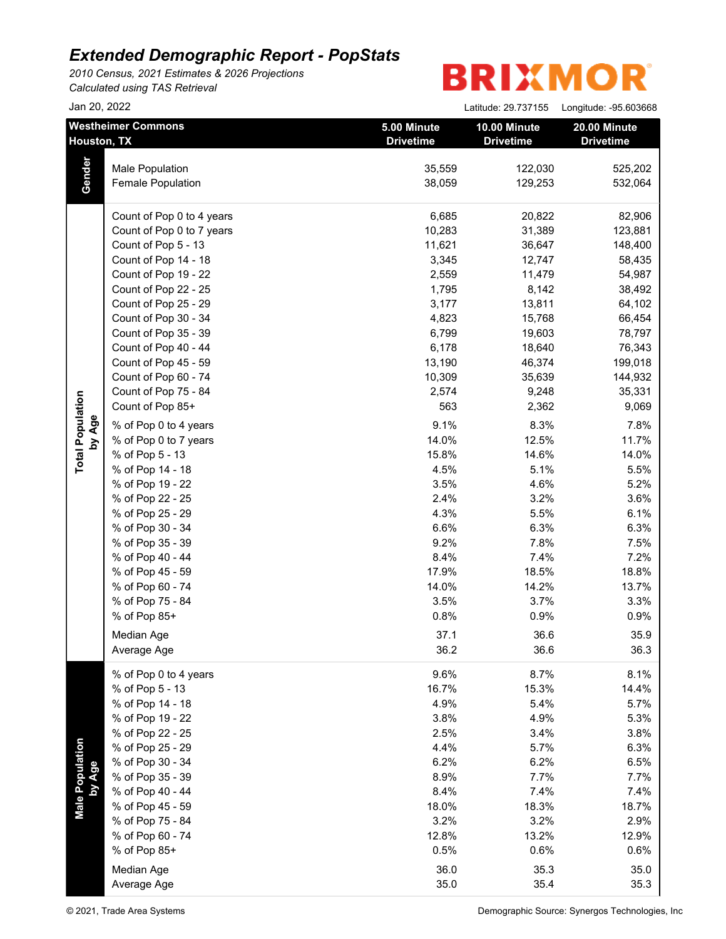*2010 Census, 2021 Estimates & 2026 Projections Calculated using TAS Retrieval*

 $\frac{1}{2}$  an 20, 2022 Latitude: 20, 227155 Longitude: 05, 603668

| Jali ZU, ZUZZ             |                                          |                                 | Latitude: 29.737155                     | Longitude: -95.603668            |
|---------------------------|------------------------------------------|---------------------------------|-----------------------------------------|----------------------------------|
|                           | <b>Westheimer Commons</b><br>Houston, TX | 5.00 Minute<br><b>Drivetime</b> | <b>10.00 Minute</b><br><b>Drivetime</b> | 20.00 Minute<br><b>Drivetime</b> |
|                           | Male Population                          | 35,559                          | 122,030                                 | 525,202                          |
| Gender                    | Female Population                        | 38,059                          | 129,253                                 | 532,064                          |
|                           | Count of Pop 0 to 4 years                | 6,685                           | 20,822                                  | 82,906                           |
|                           | Count of Pop 0 to 7 years                | 10,283                          | 31,389                                  | 123,881                          |
|                           | Count of Pop 5 - 13                      | 11,621                          | 36,647                                  | 148,400                          |
|                           | Count of Pop 14 - 18                     | 3,345                           | 12,747                                  | 58,435                           |
|                           | Count of Pop 19 - 22                     | 2,559                           | 11,479                                  | 54,987                           |
|                           | Count of Pop 22 - 25                     | 1,795                           | 8,142                                   | 38,492                           |
|                           | Count of Pop 25 - 29                     | 3,177                           | 13,811                                  | 64,102                           |
|                           | Count of Pop 30 - 34                     | 4,823                           | 15,768                                  | 66,454                           |
|                           | Count of Pop 35 - 39                     | 6,799                           | 19,603                                  | 78,797                           |
|                           | Count of Pop 40 - 44                     | 6,178                           | 18,640                                  | 76,343                           |
|                           | Count of Pop 45 - 59                     | 13,190                          | 46,374                                  | 199,018                          |
|                           | Count of Pop 60 - 74                     | 10,309                          | 35,639                                  | 144,932                          |
|                           | Count of Pop 75 - 84                     | 2,574                           | 9,248                                   | 35,331                           |
|                           | Count of Pop 85+                         | 563                             | 2,362                                   | 9,069                            |
| by Age                    | % of Pop 0 to 4 years                    | 9.1%                            | 8.3%                                    | 7.8%                             |
| <b>Total Population</b>   | % of Pop 0 to 7 years                    | 14.0%                           | 12.5%                                   | 11.7%                            |
|                           | % of Pop 5 - 13                          | 15.8%                           | 14.6%                                   | 14.0%                            |
|                           | % of Pop 14 - 18                         | 4.5%                            | 5.1%                                    | 5.5%                             |
|                           | % of Pop 19 - 22                         | 3.5%                            | 4.6%                                    | 5.2%                             |
|                           | % of Pop 22 - 25                         | 2.4%                            | 3.2%                                    | 3.6%                             |
|                           | % of Pop 25 - 29                         | 4.3%                            | 5.5%                                    | 6.1%                             |
|                           | % of Pop 30 - 34                         | 6.6%                            | 6.3%                                    | 6.3%                             |
|                           | % of Pop 35 - 39                         | 9.2%                            | 7.8%                                    | 7.5%                             |
|                           | % of Pop 40 - 44                         | 8.4%                            | 7.4%                                    | 7.2%                             |
|                           | % of Pop 45 - 59                         | 17.9%                           | 18.5%                                   | 18.8%                            |
|                           | % of Pop 60 - 74                         | 14.0%                           | 14.2%                                   | 13.7%                            |
|                           | % of Pop 75 - 84                         | 3.5%                            | 3.7%                                    | 3.3%                             |
|                           | % of Pop 85+                             | 0.8%                            | 0.9%                                    | 0.9%                             |
|                           | Median Age                               | 37.1                            | 36.6                                    | 35.9                             |
|                           | Average Age                              | 36.2                            | 36.6                                    | 36.3                             |
|                           | % of Pop 0 to 4 years                    | 9.6%                            | 8.7%                                    | 8.1%                             |
|                           | % of Pop 5 - 13                          | 16.7%                           | 15.3%                                   | 14.4%                            |
|                           | % of Pop 14 - 18                         | 4.9%                            | 5.4%                                    | 5.7%                             |
|                           | % of Pop 19 - 22                         | 3.8%                            | 4.9%                                    | 5.3%                             |
|                           | % of Pop 22 - 25                         | 2.5%                            | 3.4%                                    | 3.8%                             |
|                           | % of Pop 25 - 29                         | 4.4%                            | 5.7%                                    | 6.3%                             |
|                           | % of Pop 30 - 34                         | 6.2%                            | 6.2%                                    | 6.5%                             |
|                           | % of Pop 35 - 39                         | 8.9%                            | 7.7%                                    | 7.7%                             |
|                           | % of Pop 40 - 44                         | 8.4%                            | 7.4%                                    | 7.4%                             |
| Male Population<br>by Age | % of Pop 45 - 59                         | 18.0%                           | 18.3%                                   | 18.7%                            |
|                           | % of Pop 75 - 84                         | 3.2%                            | 3.2%                                    | 2.9%                             |
|                           | % of Pop 60 - 74                         | 12.8%                           | 13.2%                                   | 12.9%                            |
|                           | % of Pop 85+                             | 0.5%                            | 0.6%                                    | 0.6%                             |
|                           | Median Age                               | 36.0                            | 35.3                                    | 35.0                             |
|                           |                                          | 35.0                            | 35.4                                    | 35.3                             |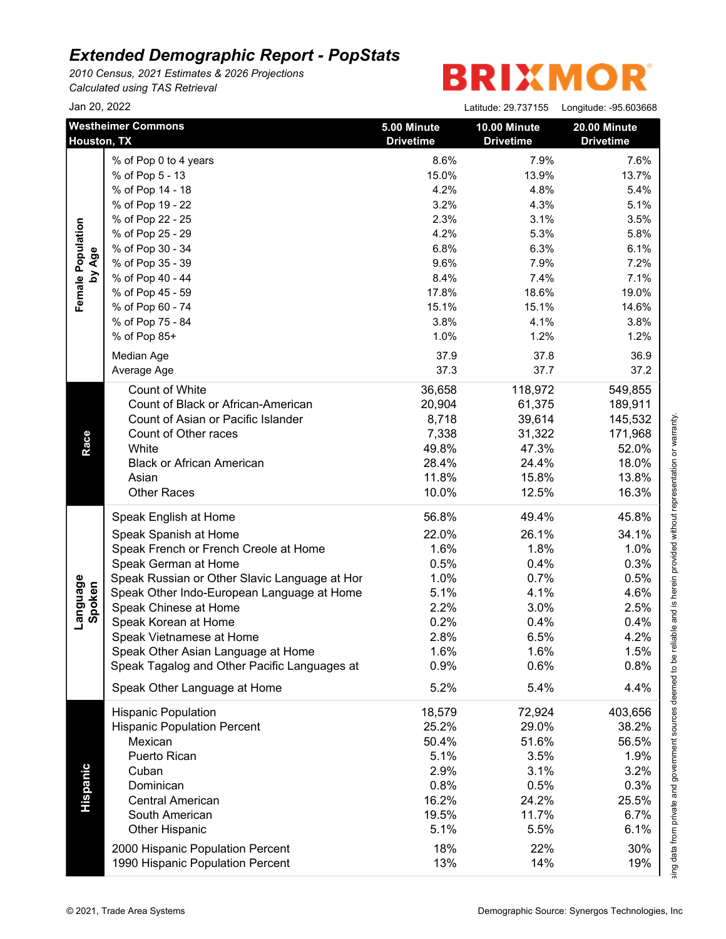*2010 Census, 2021 Estimates & 2026 Projections Calculated using TAS Retrieval*

|                    | Jan 20, 2022                                  |                                 | Latitude: 29.737155              | Longitude: -95.603668            |
|--------------------|-----------------------------------------------|---------------------------------|----------------------------------|----------------------------------|
|                    | <b>Westheimer Commons</b><br>Houston, TX      | 5.00 Minute<br><b>Drivetime</b> | 10.00 Minute<br><b>Drivetime</b> | 20.00 Minute<br><b>Drivetime</b> |
|                    | % of Pop 0 to 4 years                         | 8.6%                            | 7.9%                             | 7.6%                             |
|                    | % of Pop 5 - 13                               | 15.0%                           | 13.9%                            | 13.7%                            |
|                    | % of Pop 14 - 18                              | 4.2%                            | 4.8%                             | 5.4%                             |
|                    | % of Pop 19 - 22                              | 3.2%                            | 4.3%                             | 5.1%                             |
|                    | % of Pop 22 - 25                              | 2.3%                            | 3.1%                             | 3.5%                             |
|                    | % of Pop 25 - 29                              | 4.2%                            | 5.3%                             | 5.8%                             |
|                    | % of Pop 30 - 34                              | 6.8%                            | 6.3%                             | 6.1%                             |
| by Age             | % of Pop 35 - 39                              | 9.6%                            | 7.9%                             | 7.2%                             |
|                    | % of Pop 40 - 44                              | 8.4%                            | 7.4%                             | 7.1%                             |
|                    | % of Pop 45 - 59                              | 17.8%                           | 18.6%                            | 19.0%                            |
|                    | % of Pop 60 - 74                              | 15.1%                           | 15.1%                            | 14.6%                            |
|                    | % of Pop 75 - 84                              | 3.8%                            | 4.1%                             | 3.8%                             |
|                    | % of Pop 85+                                  | 1.0%                            | 1.2%                             | 1.2%                             |
|                    | Median Age                                    | 37.9                            | 37.8                             | 36.9                             |
|                    | Average Age                                   | 37.3                            | 37.7                             | 37.2                             |
|                    | Count of White                                |                                 | 118,972                          | 549,855                          |
|                    | Count of Black or African-American            | 36,658<br>20,904                | 61,375                           |                                  |
|                    | Count of Asian or Pacific Islander            | 8,718                           |                                  | 189,911                          |
|                    |                                               |                                 | 39,614                           | 145,532                          |
|                    | Count of Other races<br>White                 | 7,338                           | 31,322                           | 171,968                          |
|                    |                                               | 49.8%                           | 47.3%                            | 52.0%                            |
|                    | <b>Black or African American</b>              | 28.4%                           | 24.4%                            | 18.0%                            |
|                    | Asian                                         | 11.8%                           | 15.8%                            | 13.8%                            |
|                    | <b>Other Races</b>                            | 10.0%                           | 12.5%                            | 16.3%                            |
|                    | Speak English at Home                         | 56.8%                           | 49.4%                            | 45.8%                            |
|                    | Speak Spanish at Home                         | 22.0%                           | 26.1%                            | 34.1%                            |
|                    | Speak French or French Creole at Home         | 1.6%                            | 1.8%                             | 1.0%                             |
|                    | Speak German at Home                          | 0.5%                            | 0.4%                             | 0.3%                             |
|                    | Speak Russian or Other Slavic Language at Hor | 1.0%                            | 0.7%                             | 0.5%                             |
|                    | Speak Other Indo-European Language at Home    | 5.1%                            | 4.1%                             | 4.6%                             |
| Language<br>Spoken | Speak Chinese at Home                         | 2.2%                            | 3.0%                             | 2.5%                             |
|                    | Speak Korean at Home                          | 0.2%                            | 0.4%                             | 0.4%                             |
|                    | Speak Vietnamese at Home                      | 2.8%                            | 6.5%                             | 4.2%                             |
|                    | Speak Other Asian Language at Home            | 1.6%                            | 1.6%                             | 1.5%                             |
|                    | Speak Tagalog and Other Pacific Languages at  | 0.9%                            | 0.6%                             | 0.8%                             |
|                    | Speak Other Language at Home                  | 5.2%                            | 5.4%                             | 4.4%                             |
|                    | <b>Hispanic Population</b>                    | 18,579                          | 72,924                           | 403,656                          |
|                    | <b>Hispanic Population Percent</b>            | 25.2%                           | 29.0%                            | 38.2%                            |
|                    | Mexican                                       | 50.4%                           | 51.6%                            | 56.5%                            |
|                    | Puerto Rican                                  | 5.1%                            | 3.5%                             | 1.9%                             |
|                    | Cuban                                         | 2.9%                            | 3.1%                             | 3.2%                             |
|                    | Dominican                                     | 0.8%                            | 0.5%                             | 0.3%                             |
|                    | <b>Central American</b>                       | 16.2%                           | 24.2%                            | 25.5%                            |
|                    | South American                                | 19.5%                           | 11.7%                            | 6.7%                             |
|                    | <b>Other Hispanic</b>                         | 5.1%                            | 5.5%                             | 6.1%                             |
|                    |                                               |                                 |                                  | 30%                              |
|                    | 2000 Hispanic Population Percent              | 18%                             | 22%                              |                                  |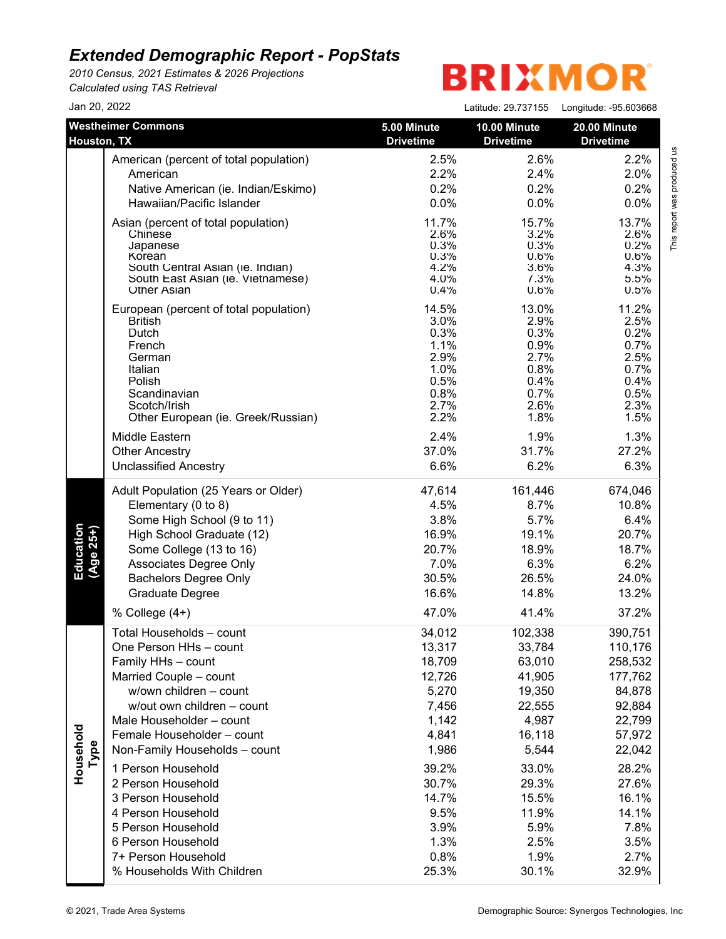*2010 Census, 2021 Estimates & 2026 Projections Calculated using TAS Retrieval*

| Jan 20, 2022           |                                                                                                                                                                                                                                                                                                                                                                                                                                                |                                                                                                                                                       | Latitude: 29.737155                                                                                                                                        | Longitude: -95.603668                                                                                                                                           |
|------------------------|------------------------------------------------------------------------------------------------------------------------------------------------------------------------------------------------------------------------------------------------------------------------------------------------------------------------------------------------------------------------------------------------------------------------------------------------|-------------------------------------------------------------------------------------------------------------------------------------------------------|------------------------------------------------------------------------------------------------------------------------------------------------------------|-----------------------------------------------------------------------------------------------------------------------------------------------------------------|
| Houston, TX            | <b>Westheimer Commons</b>                                                                                                                                                                                                                                                                                                                                                                                                                      | 5.00 Minute<br><b>Drivetime</b>                                                                                                                       | 10.00 Minute<br><b>Drivetime</b>                                                                                                                           | 20.00 Minute<br><b>Drivetime</b>                                                                                                                                |
|                        | American (percent of total population)                                                                                                                                                                                                                                                                                                                                                                                                         | 2.5%                                                                                                                                                  | 2.6%                                                                                                                                                       | 2.2%                                                                                                                                                            |
|                        | American                                                                                                                                                                                                                                                                                                                                                                                                                                       | 2.2%                                                                                                                                                  | 2.4%                                                                                                                                                       | 2.0%                                                                                                                                                            |
|                        | Native American (ie. Indian/Eskimo)                                                                                                                                                                                                                                                                                                                                                                                                            | 0.2%                                                                                                                                                  | 0.2%                                                                                                                                                       | 0.2%                                                                                                                                                            |
|                        | Hawaiian/Pacific Islander                                                                                                                                                                                                                                                                                                                                                                                                                      | 0.0%                                                                                                                                                  | 0.0%                                                                                                                                                       | 0.0%                                                                                                                                                            |
|                        | Asian (percent of total population)                                                                                                                                                                                                                                                                                                                                                                                                            | 11.7%                                                                                                                                                 | 15.7%                                                                                                                                                      | 13.7%                                                                                                                                                           |
|                        | Chinese                                                                                                                                                                                                                                                                                                                                                                                                                                        | 2.6%                                                                                                                                                  | 3.2%                                                                                                                                                       | 2.6%                                                                                                                                                            |
|                        | Japanese                                                                                                                                                                                                                                                                                                                                                                                                                                       | 0.3%                                                                                                                                                  | 0.3%                                                                                                                                                       | 0.2%                                                                                                                                                            |
|                        | Korean                                                                                                                                                                                                                                                                                                                                                                                                                                         | 0.3%                                                                                                                                                  | 0.6%                                                                                                                                                       | 0.6%                                                                                                                                                            |
|                        | South Central Asian (ie. Indian)                                                                                                                                                                                                                                                                                                                                                                                                               | 4.2%                                                                                                                                                  | 3.6%                                                                                                                                                       | 4.3%                                                                                                                                                            |
|                        | South East Asian (ie. Vietnamese)                                                                                                                                                                                                                                                                                                                                                                                                              | 4.0%                                                                                                                                                  | 7.3%                                                                                                                                                       | 5.5%                                                                                                                                                            |
|                        | <b>Other Asian</b>                                                                                                                                                                                                                                                                                                                                                                                                                             | 0.4%                                                                                                                                                  | 0.6%                                                                                                                                                       | 0.5%                                                                                                                                                            |
|                        | European (percent of total population)                                                                                                                                                                                                                                                                                                                                                                                                         | 14.5%                                                                                                                                                 | 13.0%                                                                                                                                                      | 11.2%                                                                                                                                                           |
|                        | <b>British</b>                                                                                                                                                                                                                                                                                                                                                                                                                                 | 3.0%                                                                                                                                                  | 2.9%                                                                                                                                                       | 2.5%                                                                                                                                                            |
|                        | Dutch                                                                                                                                                                                                                                                                                                                                                                                                                                          | 0.3%                                                                                                                                                  | 0.3%                                                                                                                                                       | 0.2%                                                                                                                                                            |
|                        | French                                                                                                                                                                                                                                                                                                                                                                                                                                         | 1.1%                                                                                                                                                  | 0.9%                                                                                                                                                       | 0.7%                                                                                                                                                            |
|                        | German                                                                                                                                                                                                                                                                                                                                                                                                                                         | 2.9%                                                                                                                                                  | 2.7%                                                                                                                                                       | 2.5%                                                                                                                                                            |
|                        | Italian                                                                                                                                                                                                                                                                                                                                                                                                                                        | 1.0%                                                                                                                                                  | 0.8%                                                                                                                                                       | 0.7%                                                                                                                                                            |
|                        | Polish                                                                                                                                                                                                                                                                                                                                                                                                                                         | 0.5%                                                                                                                                                  | 0.4%                                                                                                                                                       | 0.4%                                                                                                                                                            |
|                        | Scandinavian                                                                                                                                                                                                                                                                                                                                                                                                                                   | 0.8%                                                                                                                                                  | 0.7%                                                                                                                                                       | 0.5%                                                                                                                                                            |
|                        | Scotch/Irish                                                                                                                                                                                                                                                                                                                                                                                                                                   | 2.7%                                                                                                                                                  | 2.6%                                                                                                                                                       | 2.3%                                                                                                                                                            |
|                        | Other European (ie. Greek/Russian)                                                                                                                                                                                                                                                                                                                                                                                                             | 2.2%                                                                                                                                                  | 1.8%                                                                                                                                                       | 1.5%                                                                                                                                                            |
|                        | Middle Eastern                                                                                                                                                                                                                                                                                                                                                                                                                                 | 2.4%                                                                                                                                                  | 1.9%                                                                                                                                                       | 1.3%                                                                                                                                                            |
|                        | <b>Other Ancestry</b>                                                                                                                                                                                                                                                                                                                                                                                                                          | 37.0%                                                                                                                                                 | 31.7%                                                                                                                                                      | 27.2%                                                                                                                                                           |
|                        | <b>Unclassified Ancestry</b>                                                                                                                                                                                                                                                                                                                                                                                                                   | 6.6%                                                                                                                                                  | 6.2%                                                                                                                                                       | 6.3%                                                                                                                                                            |
| Education<br>(Age 25+) | Adult Population (25 Years or Older)                                                                                                                                                                                                                                                                                                                                                                                                           | 47,614                                                                                                                                                | 161,446                                                                                                                                                    | 674,046                                                                                                                                                         |
|                        | Elementary (0 to 8)                                                                                                                                                                                                                                                                                                                                                                                                                            | 4.5%                                                                                                                                                  | 8.7%                                                                                                                                                       | 10.8%                                                                                                                                                           |
|                        | Some High School (9 to 11)                                                                                                                                                                                                                                                                                                                                                                                                                     | 3.8%                                                                                                                                                  | 5.7%                                                                                                                                                       | 6.4%                                                                                                                                                            |
|                        | High School Graduate (12)                                                                                                                                                                                                                                                                                                                                                                                                                      | 16.9%                                                                                                                                                 | 19.1%                                                                                                                                                      | 20.7%                                                                                                                                                           |
|                        | Some College (13 to 16)                                                                                                                                                                                                                                                                                                                                                                                                                        | 20.7%                                                                                                                                                 | 18.9%                                                                                                                                                      | 18.7%                                                                                                                                                           |
|                        | Associates Degree Only                                                                                                                                                                                                                                                                                                                                                                                                                         | 7.0%                                                                                                                                                  | 6.3%                                                                                                                                                       | 6.2%                                                                                                                                                            |
|                        | <b>Bachelors Degree Only</b>                                                                                                                                                                                                                                                                                                                                                                                                                   | 30.5%                                                                                                                                                 | 26.5%                                                                                                                                                      | 24.0%                                                                                                                                                           |
|                        | Graduate Degree                                                                                                                                                                                                                                                                                                                                                                                                                                | 16.6%                                                                                                                                                 | 14.8%                                                                                                                                                      | 13.2%                                                                                                                                                           |
|                        | % College $(4+)$                                                                                                                                                                                                                                                                                                                                                                                                                               | 47.0%                                                                                                                                                 | 41.4%                                                                                                                                                      | 37.2%                                                                                                                                                           |
| Household<br>Type      | Total Households - count<br>One Person HHs - count<br>Family HHs - count<br>Married Couple - count<br>w/own children - count<br>w/out own children - count<br>Male Householder - count<br>Female Householder - count<br>Non-Family Households - count<br>1 Person Household<br>2 Person Household<br>3 Person Household<br>4 Person Household<br>5 Person Household<br>6 Person Household<br>7+ Person Household<br>% Households With Children | 34,012<br>13,317<br>18,709<br>12,726<br>5,270<br>7,456<br>1,142<br>4,841<br>1,986<br>39.2%<br>30.7%<br>14.7%<br>9.5%<br>3.9%<br>1.3%<br>0.8%<br>25.3% | 102,338<br>33,784<br>63,010<br>41,905<br>19,350<br>22,555<br>4,987<br>16,118<br>5,544<br>33.0%<br>29.3%<br>15.5%<br>11.9%<br>5.9%<br>2.5%<br>1.9%<br>30.1% | 390,751<br>110,176<br>258,532<br>177,762<br>84,878<br>92,884<br>22,799<br>57,972<br>22,042<br>28.2%<br>27.6%<br>16.1%<br>14.1%<br>7.8%<br>3.5%<br>2.7%<br>32.9% |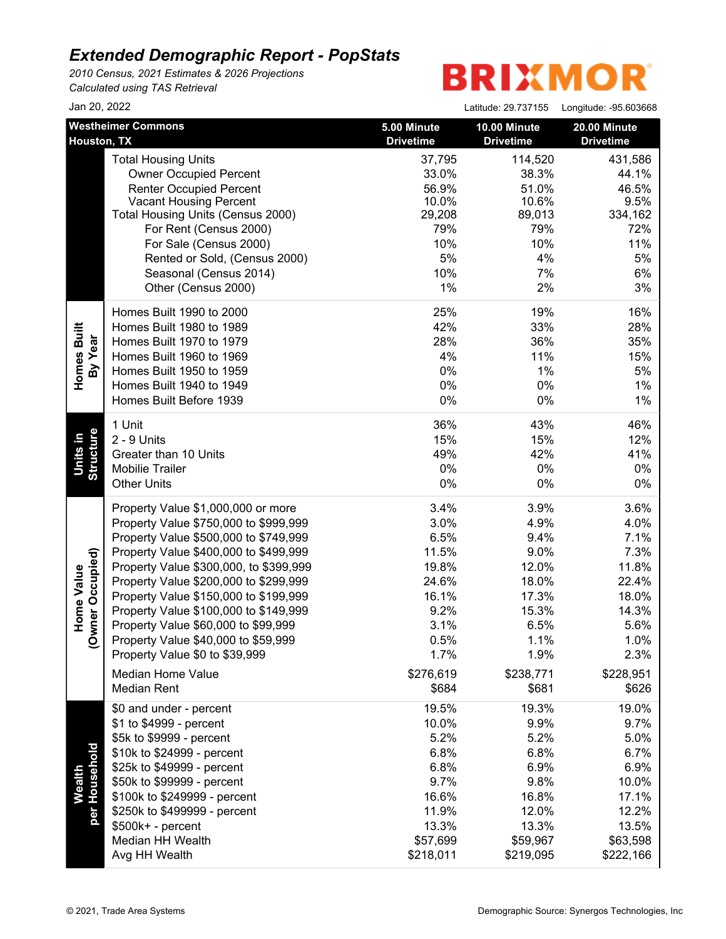*2010 Census, 2021 Estimates & 2026 Projections Calculated using TAS Retrieval*

| Jan 20, 2022                      |                                                                                                                                                                                                                                                                                                                                                                                                                                                                                                      |                                                                                                             | Latitude: 29.737155                                                                                        | Longitude: -95.603668                                                                                       |
|-----------------------------------|------------------------------------------------------------------------------------------------------------------------------------------------------------------------------------------------------------------------------------------------------------------------------------------------------------------------------------------------------------------------------------------------------------------------------------------------------------------------------------------------------|-------------------------------------------------------------------------------------------------------------|------------------------------------------------------------------------------------------------------------|-------------------------------------------------------------------------------------------------------------|
| Houston, TX                       | <b>Westheimer Commons</b>                                                                                                                                                                                                                                                                                                                                                                                                                                                                            | 5.00 Minute<br><b>Drivetime</b>                                                                             | 10.00 Minute<br><b>Drivetime</b>                                                                           | 20.00 Minute<br><b>Drivetime</b>                                                                            |
|                                   | <b>Total Housing Units</b><br><b>Owner Occupied Percent</b><br><b>Renter Occupied Percent</b><br><b>Vacant Housing Percent</b><br>Total Housing Units (Census 2000)<br>For Rent (Census 2000)<br>For Sale (Census 2000)<br>Rented or Sold, (Census 2000)<br>Seasonal (Census 2014)<br>Other (Census 2000)                                                                                                                                                                                            | 37,795<br>33.0%<br>56.9%<br>10.0%<br>29,208<br>79%<br>10%<br>5%<br>10%<br>$1\%$                             | 114,520<br>38.3%<br>51.0%<br>10.6%<br>89,013<br>79%<br>10%<br>4%<br>7%<br>2%                               | 431,586<br>44.1%<br>46.5%<br>9.5%<br>334,162<br>72%<br>11%<br>5%<br>6%<br>3%                                |
| Homes Built<br>By Year            | Homes Built 1990 to 2000<br>Homes Built 1980 to 1989<br>Homes Built 1970 to 1979<br>Homes Built 1960 to 1969<br>Homes Built 1950 to 1959<br>Homes Built 1940 to 1949<br>Homes Built Before 1939                                                                                                                                                                                                                                                                                                      | 25%<br>42%<br>28%<br>4%<br>0%<br>0%<br>0%                                                                   | 19%<br>33%<br>36%<br>11%<br>1%<br>0%<br>0%                                                                 | 16%<br>28%<br>35%<br>15%<br>5%<br>1%<br>$1\%$                                                               |
| Structure<br>Units in             | 1 Unit<br>2 - 9 Units<br>Greater than 10 Units<br><b>Mobilie Trailer</b><br><b>Other Units</b>                                                                                                                                                                                                                                                                                                                                                                                                       | 36%<br>15%<br>49%<br>0%<br>$0\%$                                                                            | 43%<br>15%<br>42%<br>0%<br>0%                                                                              | 46%<br>12%<br>41%<br>0%<br>0%                                                                               |
| vner Occupied)<br>Home Value<br>ş | Property Value \$1,000,000 or more<br>Property Value \$750,000 to \$999,999<br>Property Value \$500,000 to \$749,999<br>Property Value \$400,000 to \$499,999<br>Property Value \$300,000, to \$399,999<br>Property Value \$200,000 to \$299,999<br>Property Value \$150,000 to \$199,999<br>Property Value \$100,000 to \$149,999<br>Property Value \$60,000 to \$99,999<br>Property Value \$40,000 to \$59,999<br>Property Value \$0 to \$39,999<br><b>Median Home Value</b><br><b>Median Rent</b> | 3.4%<br>3.0%<br>6.5%<br>11.5%<br>19.8%<br>24.6%<br>16.1%<br>9.2%<br>3.1%<br>0.5%<br>1.7%<br>\$276,619       | 3.9%<br>4.9%<br>9.4%<br>9.0%<br>12.0%<br>18.0%<br>17.3%<br>15.3%<br>6.5%<br>1.1%<br>1.9%<br>\$238,771      | 3.6%<br>4.0%<br>7.1%<br>7.3%<br>11.8%<br>22.4%<br>18.0%<br>14.3%<br>5.6%<br>1.0%<br>2.3%<br>\$228,951       |
| per Household<br>Wealth           | \$0 and under - percent<br>\$1 to \$4999 - percent<br>\$5k to \$9999 - percent<br>\$10k to \$24999 - percent<br>\$25k to \$49999 - percent<br>\$50k to \$99999 - percent<br>\$100k to \$249999 - percent<br>\$250k to \$499999 - percent<br>$$500k+ - percent$<br>Median HH Wealth<br>Avg HH Wealth                                                                                                                                                                                                  | \$684<br>19.5%<br>10.0%<br>5.2%<br>6.8%<br>6.8%<br>9.7%<br>16.6%<br>11.9%<br>13.3%<br>\$57,699<br>\$218,011 | \$681<br>19.3%<br>9.9%<br>5.2%<br>6.8%<br>6.9%<br>9.8%<br>16.8%<br>12.0%<br>13.3%<br>\$59,967<br>\$219,095 | \$626<br>19.0%<br>9.7%<br>5.0%<br>6.7%<br>6.9%<br>10.0%<br>17.1%<br>12.2%<br>13.5%<br>\$63,598<br>\$222,166 |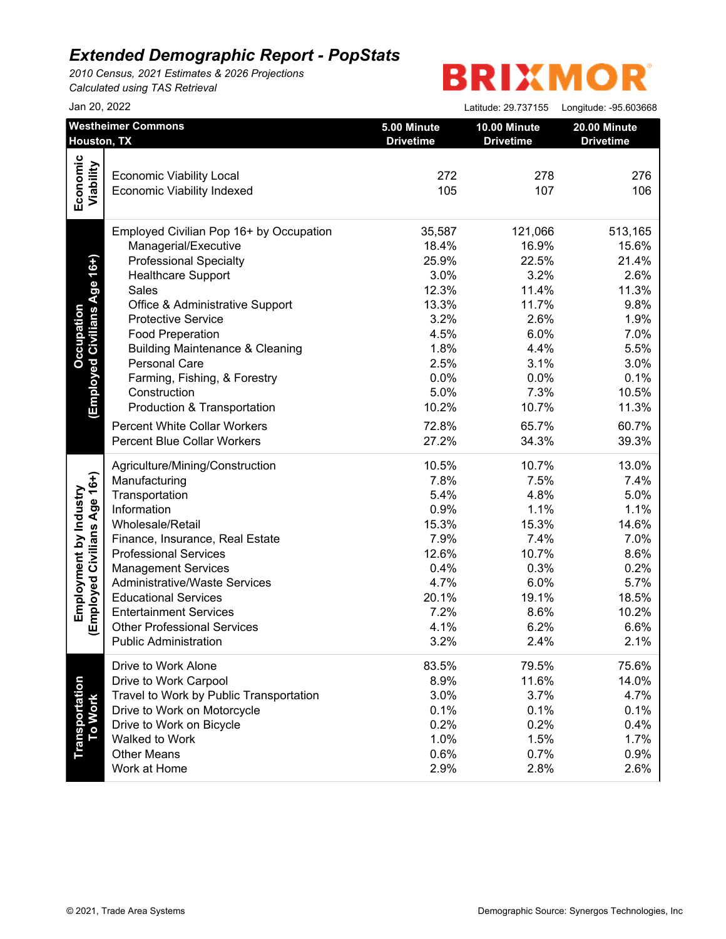*2010 Census, 2021 Estimates & 2026 Projections Calculated using TAS Retrieval*

|                              | Jan 20, 2022                               |                                 | Latitude: 29.737155              | Longitude: -95.603668            |
|------------------------------|--------------------------------------------|---------------------------------|----------------------------------|----------------------------------|
|                              | <b>Westheimer Commons</b><br>Houston, TX   | 5.00 Minute<br><b>Drivetime</b> | 10.00 Minute<br><b>Drivetime</b> | 20.00 Minute<br><b>Drivetime</b> |
|                              |                                            |                                 |                                  |                                  |
| Economic<br>Viability        | <b>Economic Viability Local</b>            | 272                             | 278                              | 276                              |
|                              | <b>Economic Viability Indexed</b>          | 105                             | 107                              | 106                              |
|                              |                                            |                                 |                                  |                                  |
|                              | Employed Civilian Pop 16+ by Occupation    | 35,587                          | 121,066                          | 513,165                          |
|                              | Managerial/Executive                       | 18.4%                           | 16.9%                            | 15.6%                            |
| (Employed Civilians Age 16+) | <b>Professional Specialty</b>              | 25.9%                           | 22.5%                            | 21.4%                            |
|                              | <b>Healthcare Support</b>                  | 3.0%                            | 3.2%                             | 2.6%                             |
|                              | Sales                                      | 12.3%                           | 11.4%                            | 11.3%                            |
|                              | Office & Administrative Support            | 13.3%                           | 11.7%                            | 9.8%                             |
|                              | <b>Protective Service</b>                  | 3.2%                            | 2.6%                             | 1.9%                             |
|                              | <b>Food Preperation</b>                    | 4.5%                            | 6.0%                             | 7.0%                             |
|                              | <b>Building Maintenance &amp; Cleaning</b> | 1.8%                            | 4.4%                             | 5.5%                             |
|                              | Personal Care                              | 2.5%                            | 3.1%                             | 3.0%                             |
|                              | Farming, Fishing, & Forestry               | 0.0%                            | 0.0%                             | 0.1%                             |
|                              | Construction                               | 5.0%                            | 7.3%                             | 10.5%                            |
|                              | Production & Transportation                | 10.2%                           | 10.7%                            | 11.3%                            |
|                              | <b>Percent White Collar Workers</b>        | 72.8%                           | 65.7%                            | 60.7%                            |
|                              | <b>Percent Blue Collar Workers</b>         | 27.2%                           | 34.3%                            | 39.3%                            |
|                              |                                            |                                 |                                  |                                  |
|                              | Agriculture/Mining/Construction            | 10.5%                           | 10.7%                            | 13.0%                            |
|                              | Manufacturing                              | 7.8%                            | 7.5%                             | 7.4%                             |
|                              | Transportation                             | 5.4%                            | 4.8%                             | 5.0%                             |
|                              | Information                                | 0.9%                            | 1.1%                             | 1.1%                             |
|                              | Wholesale/Retail                           | 15.3%                           | 15.3%                            | 14.6%                            |
|                              | Finance, Insurance, Real Estate            | 7.9%                            | 7.4%                             | 7.0%                             |
|                              | <b>Professional Services</b>               | 12.6%                           | 10.7%                            | 8.6%                             |
|                              | <b>Management Services</b>                 | 0.4%                            | 0.3%                             | 0.2%                             |
| Employed Civilians Age 16+)  | <b>Administrative/Waste Services</b>       | 4.7%                            | 6.0%                             | 5.7%                             |
|                              | <b>Educational Services</b>                | 20.1%                           | 19.1%                            | 18.5%                            |
|                              | <b>Entertainment Services</b>              | 7.2%                            | 8.6%                             | 10.2%                            |
|                              | <b>Other Professional Services</b>         | 4.1%                            | 6.2%                             | 6.6%                             |
|                              | <b>Public Administration</b>               | 3.2%                            | 2.4%                             | 2.1%                             |
|                              | Drive to Work Alone                        | 83.5%                           | 79.5%                            | 75.6%                            |
|                              | Drive to Work Carpool                      | 8.9%                            | 11.6%                            | 14.0%                            |
|                              | Travel to Work by Public Transportation    | 3.0%                            | 3.7%                             | 4.7%                             |
| To Work                      | Drive to Work on Motorcycle                | 0.1%                            | 0.1%                             | 0.1%                             |
|                              | Drive to Work on Bicycle                   | 0.2%                            | 0.2%                             | 0.4%                             |
|                              | Walked to Work                             | 1.0%                            | 1.5%                             | 1.7%                             |
|                              | <b>Other Means</b>                         | 0.6%                            | 0.7%                             | 0.9%                             |
|                              | Work at Home                               | 2.9%                            | 2.8%                             | 2.6%                             |